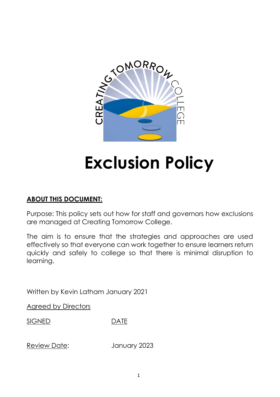

# **Exclusion Policy**

# **ABOUT THIS DOCUMENT:**

Purpose: This policy sets out how for staff and governors how exclusions are managed at Creating Tomorrow College.

The aim is to ensure that the strategies and approaches are used effectively so that everyone can work together to ensure learners return quickly and safely to college so that there is minimal disruption to learning.

Written by Kevin Latham January 2021

Agreed by Directors

SIGNED DATE

Review Date: January 2023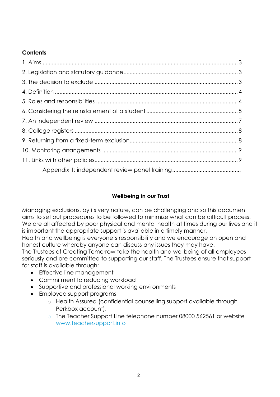## **Contents**

## **Wellbeing in our Trust**

Managing exclusions, by its very nature, can be challenging and so this document aims to set out procedures to be followed to minimize what can be difficult process. We are all affected by poor physical and mental health at times during our lives and it is important the appropriate support is available in a timely manner.

Health and wellbeing is everyone's responsibility and we encourage an open and honest culture whereby anyone can discuss any issues they may have.

The Trustees of Creating Tomorrow take the health and wellbeing of all employees seriously and are committed to supporting our staff. The Trustees ensure that support for staff is available through:

- Effective line management
- Commitment to reducing workload
- Supportive and professional working environments
- Employee support programs
	- o Health Assured (confidential counselling support available through Perkbox account).
	- o The Teacher Support Line telephone number 08000 562561 or website [www.teachersupport.info](http://www.teachersupport.info/)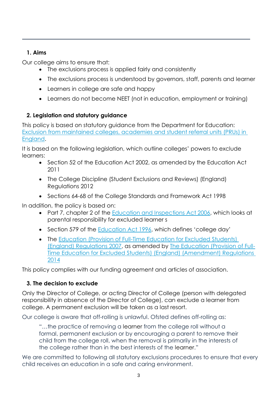## **1. Aims**

Our college aims to ensure that:

- The exclusions process is applied fairly and consistently
- The exclusions process is understood by governors, staff, parents and learner
- Learners in college are safe and happy
- Learners do not become NEET (not in education, employment or training)

# **2. Legislation and statutory guidance**

This policy is based on statutory guidance from the Department for Education: [Exclusion from maintained colleges, academies and student](https://www.gov.uk/government/publications/school-exclusion) referral units (PRUs) in [England.](https://www.gov.uk/government/publications/school-exclusion)

It is based on the following legislation, which outline colleges' powers to exclude learners:

- Section 52 of the [Education Act 2002,](http://www.legislation.gov.uk/ukpga/2002/32/section/52) as amended by the Education Act [2011](http://www.legislation.gov.uk/ukpga/2011/21/contents/enacted)
- The College Discipline (Student [Exclusions and Reviews\) \(England\)](http://www.legislation.gov.uk/uksi/2012/1033/made)  [Regulations 2012](http://www.legislation.gov.uk/uksi/2012/1033/made)
- Sections 64-68 of the College [Standards and Framework Act 1998](http://www.legislation.gov.uk/ukpga/1998/31)

In addition, the policy is based on:

- Part 7, chapter 2 of the [Education and Inspections Act 2006,](http://www.legislation.gov.uk/ukpga/2006/40/part/7/chapter/2) which looks at parental responsibility for excluded learner s
- Section 579 of the [Education Act 1996](http://www.legislation.gov.uk/ukpga/1996/56/section/579), which defines 'college day'
- The Education (Provision of Full-Time Education for Excluded Students) [\(England\) Regulations 2007,](http://www.legislation.gov.uk/uksi/2007/1870/contents/made) as amended by [The Education \(Provision of Full-](http://www.legislation.gov.uk/uksi/2014/3216/contents/made)[Time Education for Excluded Students\) \(England\) \(Amendment\) Regulations](http://www.legislation.gov.uk/uksi/2014/3216/contents/made)  [2014](http://www.legislation.gov.uk/uksi/2014/3216/contents/made)

This policy complies with our funding agreement and articles of association.

# **3. The decision to exclude**

Only the Director of College, or acting Director of College (person with delegated responsibility in absence of the Director of College), can exclude a learner from college. A permanent exclusion will be taken as a last resort.

Our college is aware that off-rolling is unlawful. Ofsted defines off-rolling as:

"…the practice of removing a learner from the college roll without a formal, permanent exclusion or by encouraging a parent to remove their child from the college roll, when the removal is primarily in the interests of the college rather than in the best interests of the learner."

We are committed to following all statutory exclusions procedures to ensure that every child receives an education in a safe and caring environment.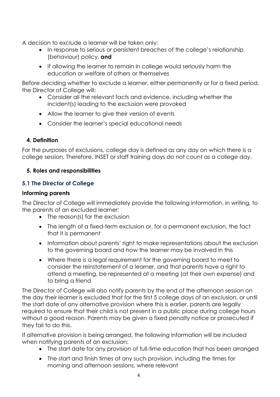A decision to exclude a learner will be taken only:

- In response to serious or persistent breaches of the college's relationship (behaviour) policy, **and**
- If allowing the learner to remain in college would seriously harm the education or welfare of others or themselves

Before deciding whether to exclude a learner, either permanently or for a fixed period, the Director of College will:

- Consider all the relevant facts and evidence, including whether the incident(s) leading to the exclusion were provoked
- Allow the learner to give their version of events
- Consider the learner's special educational needs

## **4. Definition**

For the purposes of exclusions, college day is defined as any day on which there is a college session. Therefore, INSET or staff training days do not count as a college day.

#### **5. Roles and responsibilities**

## **5.1 The Director of College**

#### **Informing parents**

The Director of College will immediately provide the following information, in writing, to the parents of an excluded learner:

- The reason(s) for the exclusion
- The length of a fixed-term exclusion or, for a permanent exclusion, the fact that it is permanent
- Information about parents' right to make representations about the exclusion to the governing board and how the learner may be involved in this
- Where there is a legal requirement for the governing board to meet to consider the reinstatement of a learner, and that parents have a right to attend a meeting, be represented at a meeting (at their own expense) and to bring a friend

The Director of College will also notify parents by the end of the afternoon session on the day their learner is excluded that for the first 5 college days of an exclusion, or until the start date of any alternative provision where this is earlier, parents are legally required to ensure that their child is not present in a public place during college hours without a good reason. Parents may be given a fixed penalty notice or prosecuted if they fail to do this.

If alternative provision is being arranged, the following information will be included when notifying parents of an exclusion:

- The start date for any provision of full-time education that has been arranged
- The start and finish times of any such provision, including the times for morning and afternoon sessions, where relevant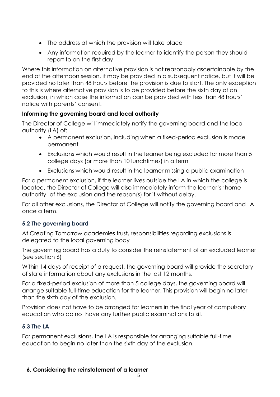- The address at which the provision will take place
- Any information required by the learner to identify the person they should report to on the first day

Where this information on alternative provision is not reasonably ascertainable by the end of the afternoon session, it may be provided in a subsequent notice, but it will be provided no later than 48 hours before the provision is due to start. The only exception to this is where alternative provision is to be provided before the sixth day of an exclusion, in which case the information can be provided with less than 48 hours' notice with parents' consent.

## **Informing the governing board and local authority**

The Director of College will immediately notify the governing board and the local authority (LA) of:

- A permanent exclusion, including when a fixed-period exclusion is made permanent
- Exclusions which would result in the learner being excluded for more than 5 college days (or more than 10 lunchtimes) in a term
- Exclusions which would result in the learner missing a public examination

For a permanent exclusion, if the learner lives outside the LA in which the college is located, the Director of College will also immediately inform the learner's 'home authority' of the exclusion and the reason(s) for it without delay.

For all other exclusions, the Director of College will notify the governing board and LA once a term.

## **5.2 The governing board**

At Creating Tomorrow academies trust, responsibilities regarding exclusions is delegated to the local governing body

The governing board has a duty to consider the reinstatement of an excluded learner (see section 6)

Within 14 days of receipt of a request, the governing board will provide the secretary of state information about any exclusions in the last 12 months.

For a fixed-period exclusion of more than 5 college days, the governing board will arrange suitable full-time education for the learner. This provision will begin no later than the sixth day of the exclusion.

Provision does not have to be arranged for learners in the final year of compulsory education who do not have any further public examinations to sit.

# **5.3 The LA**

For permanent exclusions, the LA is responsible for arranging suitable full-time education to begin no later than the sixth day of the exclusion.

# **6. Considering the reinstatement of a learner**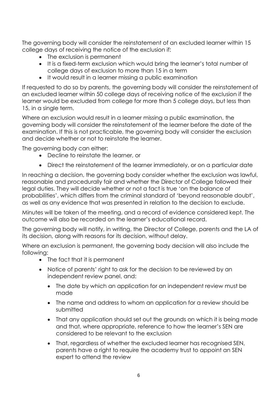The governing body will consider the reinstatement of an excluded learner within 15 college days of receiving the notice of the exclusion if:

- The exclusion is permanent
- It is a fixed-term exclusion which would bring the learner's total number of college days of exclusion to more than 15 in a term
- It would result in a learner missing a public examination

If requested to do so by parents, the governing body will consider the reinstatement of an excluded learner within 50 college days of receiving notice of the exclusion if the learner would be excluded from college for more than 5 college days, but less than 15, in a single term.

Where an exclusion would result in a learner missing a public examination, the governing body will consider the reinstatement of the learner before the date of the examination. If this is not practicable, the governing body will consider the exclusion and decide whether or not to reinstate the learner.

The governing body can either:

- Decline to reinstate the learner, or
- Direct the reinstatement of the learner immediately, or on a particular date

In reaching a decision, the governing body consider whether the exclusion was lawful, reasonable and procedurally fair and whether the Director of College followed their legal duties. They will decide whether or not a fact is true 'on the balance of probabilities', which differs from the criminal standard of 'beyond reasonable doubt', as well as any evidence that was presented in relation to the decision to exclude.

Minutes will be taken of the meeting, and a record of evidence considered kept. The outcome will also be recorded on the learner's educational record.

The governing body will notify, in writing, the Director of College, parents and the LA of its decision, along with reasons for its decision, without delay.

Where an exclusion is permanent, the governing body decision will also include the following:

- The fact that it is permanent
- Notice of parents' right to ask for the decision to be reviewed by an independent review panel, and:
	- The date by which an application for an independent review must be made
	- The name and address to whom an application for a review should be submitted
	- That any application should set out the grounds on which it is being made and that, where appropriate, reference to how the learner's SEN are considered to be relevant to the exclusion
	- That, regardless of whether the excluded learner has recognised SEN, parents have a right to require the academy trust to appoint an SEN expert to attend the review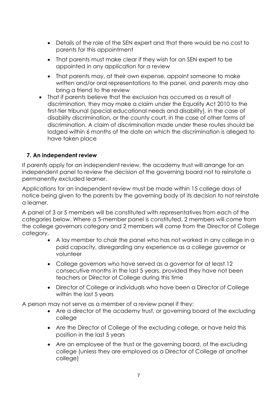- Details of the role of the SEN expert and that there would be no cost to parents for this appointment
- That parents must make clear if they wish for an SEN expert to be appointed in any application for a review
- That parents may, at their own expense, appoint someone to make written and/or oral representations to the panel, and parents may also bring a friend to the review
- That if parents believe that the exclusion has occurred as a result of discrimination, they may make a claim under the Equality Act 2010 to the first-tier tribunal (special educational needs and disability), in the case of disability discrimination, or the county court, in the case of other forms of discrimination. A claim of discrimination made under these routes should be lodged within 6 months of the date on which the discrimination is alleged to have taken place

#### **7. An independent review**

If parents apply for an independent review, the academy trust will arrange for an independent panel to review the decision of the governing board not to reinstate a permanently excluded learner.

Applications for an independent review must be made within 15 college days of notice being given to the parents by the governing body of its decision to not reinstate a learner.

A panel of 3 or 5 members will be constituted with representatives from each of the categories below. Where a 5-member panel is constituted, 2 members will come from the college governors category and 2 members will come from the Director of College category.

- A lay member to chair the panel who has not worked in any college in a paid capacity, disregarding any experience as a college governor or volunteer
- College governors who have served as a governor for at least 12 consecutive months in the last 5 years, provided they have not been teachers or Director of College during this time
- Director of College or individuals who have been a Director of College within the last 5 years

A person may not serve as a member of a review panel if they:

- Are a director of the academy trust, or governing board of the excluding college
- Are the Director of College of the excluding college, or have held this position in the last 5 years
- Are an employee of the trust or the governing board, of the excluding college (unless they are employed as a Director of College at another college)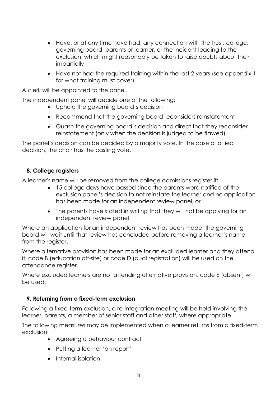- Have, or at any time have had, any connection with the trust, college, governing board, parents or learner, or the incident leading to the exclusion, which might reasonably be taken to raise doubts about their impartially
- Have not had the required training within the last 2 years (see appendix 1 for what training must cover)

A clerk will be appointed to the panel.

The independent panel will decide one of the following:

- Uphold the governing board's decision
- Recommend that the governing board reconsiders reinstatement
- Quash the governing board's decision and direct that they reconsider reinstatement (only when the decision is judged to be flawed)

The panel's decision can be decided by a majority vote. In the case of a tied decision, the chair has the casting vote.

#### **8. College registers**

A learner's name will be removed from the college admissions register if:

- 15 college days have passed since the parents were notified of the exclusion panel's decision to not reinstate the learner and no application has been made for an independent review panel, or
- The parents have stated in writing that they will not be applying for an independent review panel

Where an application for an independent review has been made, the governing board will wait until that review has concluded before removing a learner's name from the register.

Where alternative provision has been made for an excluded learner and they attend it, code B (education off-site) or code D (dual registration) will be used on the attendance register.

Where excluded learners are not attending alternative provision, code E (absent) will be used.

## **9. Returning from a fixed-term exclusion**

Following a fixed-term exclusion, a re-integration meeting will be held involving the learner, parents, a member of senior staff and other staff, where appropriate.

The following measures may be implemented when a learner returns from a fixed-term exclusion:

- Agreeing a behaviour contract
- Putting a learner 'on report'
- Internal isolation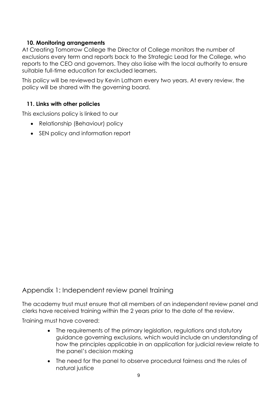#### **10. Monitoring arrangements**

At Creating Tomorrow College the Director of College monitors the number of exclusions every term and reports back to the Strategic Lead for the College, who reports to the CEO and governors. They also liaise with the local authority to ensure suitable full-time education for excluded learners.

This policy will be reviewed by Kevin Latham every two years. At every review, the policy will be shared with the governing board.

#### **11. Links with other policies**

This exclusions policy is linked to our

- Relationship (Behaviour) policy
- SEN policy and information report

## Appendix 1: Independent review panel training

The academy trust must ensure that all members of an independent review panel and clerks have received training within the 2 years prior to the date of the review.

Training must have covered:

- The requirements of the primary legislation, regulations and statutory guidance governing exclusions, which would include an understanding of how the principles applicable in an application for judicial review relate to the panel's decision making
- The need for the panel to observe procedural fairness and the rules of natural justice